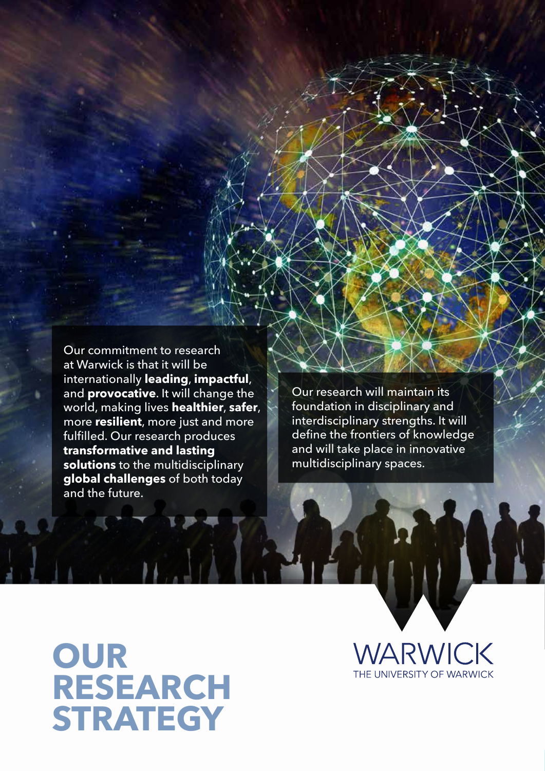Our commitment to research at Warwick is that it will be internationally **leading**, **impactful**, and **provocative**. It will change the world, making lives **healthier**, **safer**, more **resilient**, more just and more fulfilled. Our research produces **transformative and lasting solutions** to the multidisciplinary **global challenges** of both today and the future.

Our research will maintain its foundation in disciplinary and interdisciplinary strengths. It will define the frontiers of knowledge and will take place in innovative multidisciplinary spaces.

## **OUR RESEARCH STRATEGY**

VARWICK THE UNIVERSITY OF WARWICK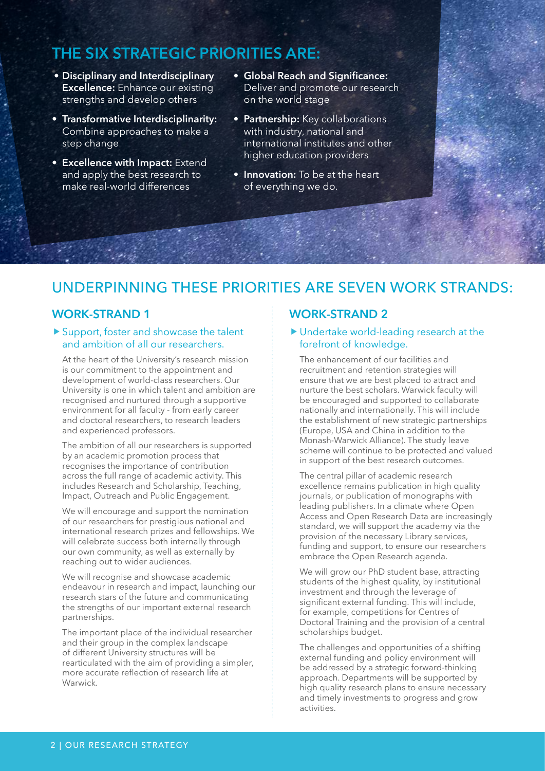## **THE SIX STRATEGIC PRIORITIES ARE:**

- **• Disciplinary and Interdisciplinary Excellence:** Enhance our existing strengths and develop others
- **• Transformative Interdisciplinarity:**  Combine approaches to make a step change
- **• Excellence with Impact:** Extend and apply the best research to make real-world differences
- **• Global Reach and Significance:** Deliver and promote our research on the world stage
- **• Partnership:** Key collaborations with industry, national and international institutes and other higher education providers
- **• Innovation:** To be at the heart of everything we do.

## UNDERPINNING THESE PRIORITIES ARE SEVEN WORK STRANDS:

#### **WORK-STRAND 1**

#### Support, foster and showcase the talent and ambition of all our researchers.

At the heart of the University's research mission is our commitment to the appointment and development of world-class researchers. Our University is one in which talent and ambition are recognised and nurtured through a supportive environment for all faculty - from early career and doctoral researchers, to research leaders and experienced professors.

The ambition of all our researchers is supported by an academic promotion process that recognises the importance of contribution across the full range of academic activity. This includes Research and Scholarship, Teaching, Impact, Outreach and Public Engagement.

We will encourage and support the nomination of our researchers for prestigious national and international research prizes and fellowships. We will celebrate success both internally through our own community, as well as externally by reaching out to wider audiences.

We will recognise and showcase academic endeavour in research and impact, launching our research stars of the future and communicating the strengths of our important external research partnerships.

The important place of the individual researcher and their group in the complex landscape of different University structures will be rearticulated with the aim of providing a simpler, more accurate reflection of research life at **Warwick** 

#### **WORK-STRAND 2**

#### Undertake world-leading research at the forefront of knowledge.

The enhancement of our facilities and recruitment and retention strategies will ensure that we are best placed to attract and nurture the best scholars. Warwick faculty will be encouraged and supported to collaborate nationally and internationally. This will include the establishment of new strategic partnerships (Europe, USA and China in addition to the Monash-Warwick Alliance). The study leave scheme will continue to be protected and valued in support of the best research outcomes.

The central pillar of academic research excellence remains publication in high quality journals, or publication of monographs with leading publishers. In a climate where Open Access and Open Research Data are increasingly standard, we will support the academy via the provision of the necessary Library services, funding and support, to ensure our researchers embrace the Open Research agenda.

We will grow our PhD student base, attracting students of the highest quality, by institutional investment and through the leverage of significant external funding. This will include, for example, competitions for Centres of Doctoral Training and the provision of a central scholarships budget.

The challenges and opportunities of a shifting external funding and policy environment will be addressed by a strategic forward-thinking approach. Departments will be supported by high quality research plans to ensure necessary and timely investments to progress and grow activities.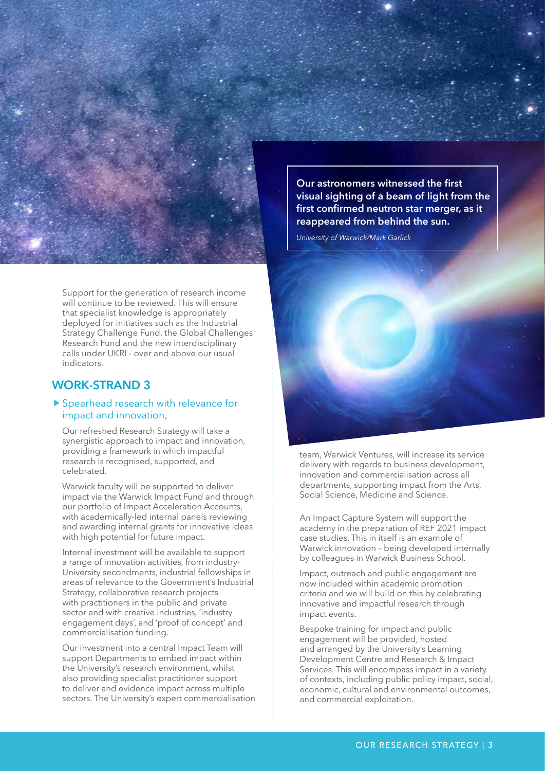

Support for the generation of research income will continue to be reviewed. This will ensure that specialist knowledge is appropriately deployed for initiatives such as the Industrial Strategy Challenge Fund, the Global Challenges Research Fund and the new interdisciplinary calls under UKRI - over and above our usual indicators.

#### **WORK-STRAND 3**

#### ▶ Spearhead research with relevance for impact and innovation

Our refreshed Research Strategy will take a synergistic approach to impact and innovation, providing a framework in which impactful research is recognised, supported, and celebrated.

Warwick faculty will be supported to deliver impact via the Warwick Impact Fund and through our portfolio of Impact Acceleration Accounts, with academically-led internal panels reviewing and awarding internal grants for innovative ideas with high potential for future impact.

Internal investment will be available to support a range of innovation activities, from industry-University secondments, industrial fellowships in areas of relevance to the Government's Industrial Strategy, collaborative research projects with practitioners in the public and private sector and with creative industries, 'industry engagement days', and 'proof of concept' and commercialisation funding.

Our investment into a central Impact Team will support Departments to embed impact within the University's research environment, whilst also providing specialist practitioner support to deliver and evidence impact across multiple sectors. The University's expert commercialisation

**Our astronomers witnessed the first visual sighting of a beam of light from the first confirmed neutron star merger, as it reappeared from behind the sun.** 

*University of Warwick/Mark Garlick*



team, Warwick Ventures, will increase its service delivery with regards to business development, innovation and commercialisation across all departments, supporting impact from the Arts, Social Science, Medicine and Science.

An Impact Capture System will support the academy in the preparation of REF 2021 impact case studies. This in itself is an example of Warwick innovation – being developed internally by colleagues in Warwick Business School.

Impact, outreach and public engagement are now included within academic promotion criteria and we will build on this by celebrating innovative and impactful research through impact events.

Bespoke training for impact and public engagement will be provided, hosted and arranged by the University's Learning Development Centre and Research & Impact Services. This will encompass impact in a variety of contexts, including public policy impact, social, economic, cultural and environmental outcomes, and commercial exploitation.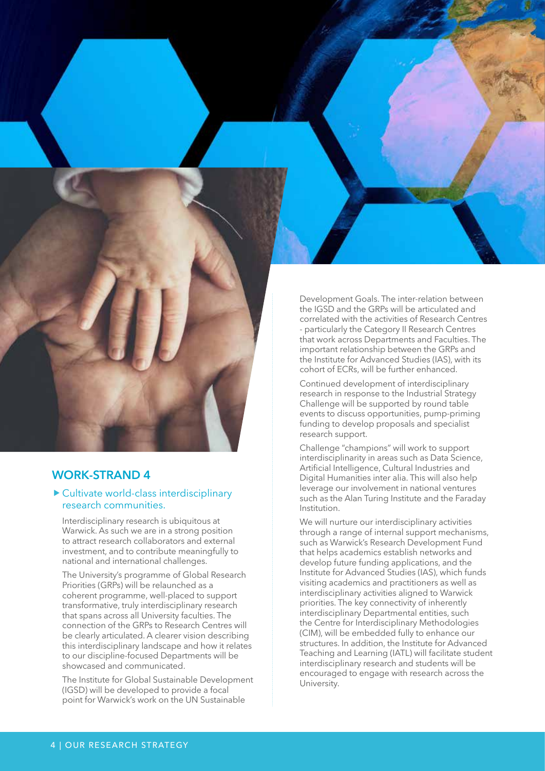

#### Cultivate world-class interdisciplinary research communities.

Interdisciplinary research is ubiquitous at Warwick. As such we are in a strong position to attract research collaborators and external investment, and to contribute meaningfully to national and international challenges.

The University's programme of Global Research Priorities (GRPs) will be relaunched as a coherent programme, well-placed to support transformative, truly interdisciplinary research that spans across all University faculties. The connection of the GRPs to Research Centres will be clearly articulated. A clearer vision describing this interdisciplinary landscape and how it relates to our discipline-focused Departments will be showcased and communicated.

The Institute for Global Sustainable Development (IGSD) will be developed to provide a focal point for Warwick's work on the UN Sustainable

Development Goals. The inter-relation between the IGSD and the GRPs will be articulated and correlated with the activities of Research Centres - particularly the Category II Research Centres that work across Departments and Faculties. The important relationship between the GRPs and the Institute for Advanced Studies (IAS), with its cohort of ECRs, will be further enhanced.

Continued development of interdisciplinary research in response to the Industrial Strategy Challenge will be supported by round table events to discuss opportunities, pump-priming funding to develop proposals and specialist research support.

Challenge "champions" will work to support interdisciplinarity in areas such as Data Science, Artificial Intelligence, Cultural Industries and Digital Humanities inter alia. This will also help leverage our involvement in national ventures such as the Alan Turing Institute and the Faraday Institution.

We will nurture our interdisciplinary activities through a range of internal support mechanisms, such as Warwick's Research Development Fund that helps academics establish networks and develop future funding applications, and the Institute for Advanced Studies (IAS), which funds visiting academics and practitioners as well as interdisciplinary activities aligned to Warwick priorities. The key connectivity of inherently interdisciplinary Departmental entities, such the Centre for Interdisciplinary Methodologies (CIM), will be embedded fully to enhance our structures. In addition, the Institute for Advanced Teaching and Learning (IATL) will facilitate student interdisciplinary research and students will be encouraged to engage with research across the University.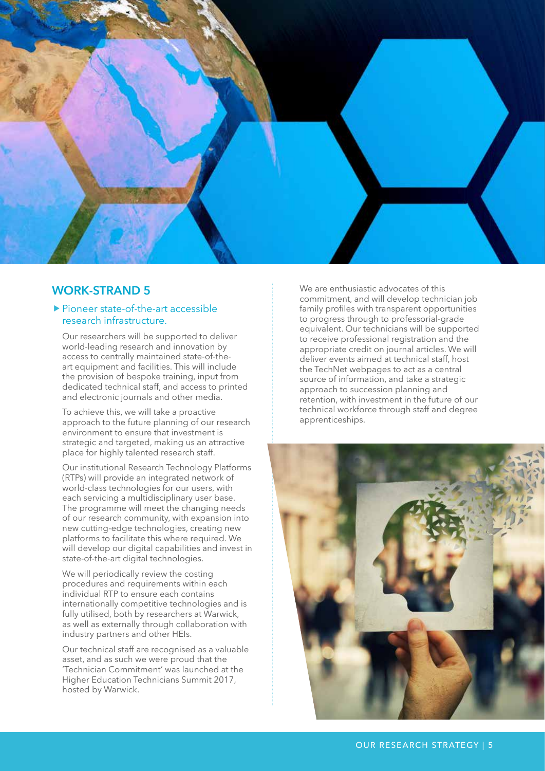

#### ▶ Pioneer state-of-the-art accessible research infrastructure.

Our researchers will be supported to deliver world-leading research and innovation by access to centrally maintained state-of-theart equipment and facilities. This will include the provision of bespoke training, input from dedicated technical staff, and access to printed and electronic journals and other media.

To achieve this, we will take a proactive approach to the future planning of our research environment to ensure that investment is strategic and targeted, making us an attractive place for highly talented research staff.

Our institutional Research Technology Platforms (RTPs) will provide an integrated network of world-class technologies for our users, with each servicing a multidisciplinary user base. The programme will meet the changing needs of our research community, with expansion into new cutting-edge technologies, creating new platforms to facilitate this where required. We will develop our digital capabilities and invest in state-of-the-art digital technologies.

We will periodically review the costing procedures and requirements within each individual RTP to ensure each contains internationally competitive technologies and is fully utilised, both by researchers at Warwick, as well as externally through collaboration with industry partners and other HEIs.

Our technical staff are recognised as a valuable asset, and as such we were proud that the 'Technician Commitment' was launched at the Higher Education Technicians Summit 2017, hosted by Warwick.

We are enthusiastic advocates of this commitment, and will develop technician job family profiles with transparent opportunities to progress through to professorial-grade equivalent. Our technicians will be supported to receive professional registration and the appropriate credit on journal articles. We will deliver events aimed at technical staff, host the TechNet webpages to act as a central source of information, and take a strategic approach to succession planning and retention, with investment in the future of our technical workforce through staff and degree apprenticeships.

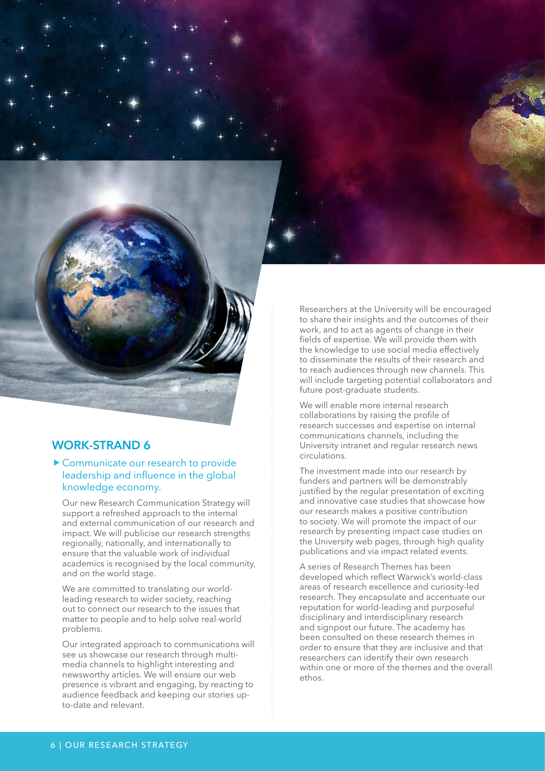#### ▶ Communicate our research to provide leadership and influence in the global knowledge economy.

Our new Research Communication Strategy will support a refreshed approach to the internal and external communication of our research and impact. We will publicise our research strengths regionally, nationally, and internationally to ensure that the valuable work of individual academics is recognised by the local community, and on the world stage.

We are committed to translating our worldleading research to wider society, reaching out to connect our research to the issues that matter to people and to help solve real-world problems.

Our integrated approach to communications will see us showcase our research through multimedia channels to highlight interesting and newsworthy articles. We will ensure our web presence is vibrant and engaging, by reacting to audience feedback and keeping our stories upto-date and relevant.

Researchers at the University will be encouraged to share their insights and the outcomes of their work, and to act as agents of change in their fields of expertise. We will provide them with the knowledge to use social media effectively to disseminate the results of their research and to reach audiences through new channels. This will include targeting potential collaborators and future post-graduate students.

We will enable more internal research collaborations by raising the profile of research successes and expertise on internal communications channels, including the University intranet and regular research news circulations.

The investment made into our research by funders and partners will be demonstrably justified by the regular presentation of exciting and innovative case studies that showcase how our research makes a positive contribution to society. We will promote the impact of our research by presenting impact case studies on the University web pages, through high quality publications and via impact related events.

A series of Research Themes has been developed which reflect Warwick's world-class areas of research excellence and curiosity-led research. They encapsulate and accentuate our reputation for world-leading and purposeful disciplinary and interdisciplinary research and signpost our future. The academy has been consulted on these research themes in order to ensure that they are inclusive and that researchers can identify their own research within one or more of the themes and the overall ethos.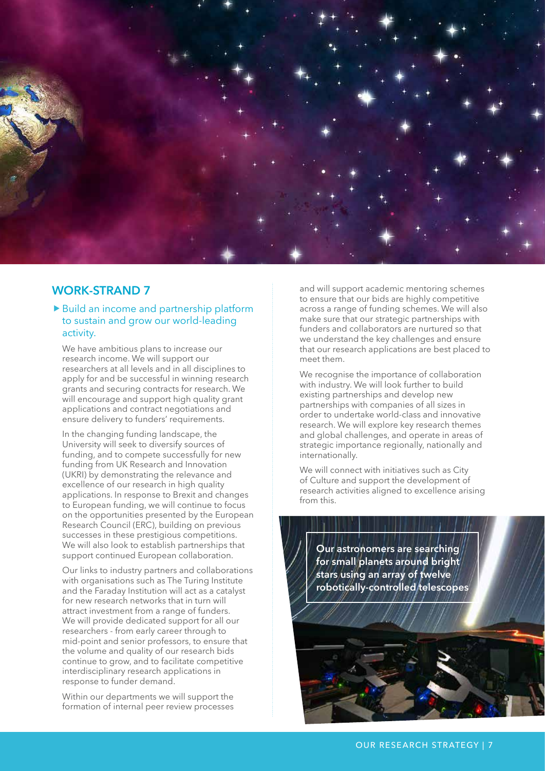

#### ▶ Build an income and partnership platform to sustain and grow our world-leading activity.

We have ambitious plans to increase our research income. We will support our researchers at all levels and in all disciplines to apply for and be successful in winning research grants and securing contracts for research. We will encourage and support high quality grant applications and contract negotiations and ensure delivery to funders' requirements.

In the changing funding landscape, the University will seek to diversify sources of funding, and to compete successfully for new funding from UK Research and Innovation (UKRI) by demonstrating the relevance and excellence of our research in high quality applications. In response to Brexit and changes to European funding, we will continue to focus on the opportunities presented by the European Research Council (ERC), building on previous successes in these prestigious competitions. We will also look to establish partnerships that support continued European collaboration.

Our links to industry partners and collaborations with organisations such as The Turing Institute and the Faraday Institution will act as a catalyst for new research networks that in turn will attract investment from a range of funders. We will provide dedicated support for all our researchers - from early career through to mid-point and senior professors, to ensure that the volume and quality of our research bids continue to grow, and to facilitate competitive interdisciplinary research applications in response to funder demand.

Within our departments we will support the formation of internal peer review processes

and will support academic mentoring schemes to ensure that our bids are highly competitive across a range of funding schemes. We will also make sure that our strategic partnerships with funders and collaborators are nurtured so that we understand the key challenges and ensure that our research applications are best placed to meet them.

We recognise the importance of collaboration with industry. We will look further to build existing partnerships and develop new partnerships with companies of all sizes in order to undertake world-class and innovative research. We will explore key research themes and global challenges, and operate in areas of strategic importance regionally, nationally and internationally.

We will connect with initiatives such as City of Culture and support the development of research activities aligned to excellence arising from this.

**Our astronomers are searching for small planets around bright stars using an array of twelve robotically-controlled telescopes**

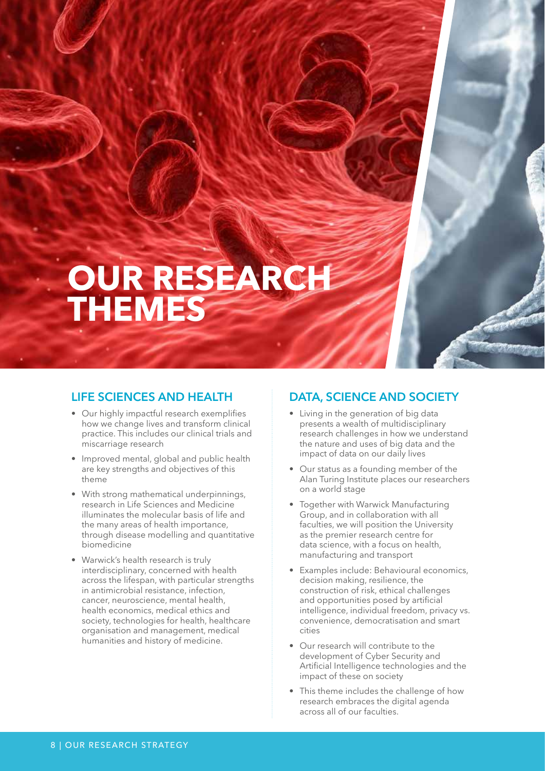# **OUR RESEARCHE THEMES**

#### **LIFE SCIENCES AND HEALTH**

- Our highly impactful research exemplifies how we change lives and transform clinical practice. This includes our clinical trials and miscarriage research
- Improved mental, global and public health are key strengths and objectives of this theme
- With strong mathematical underpinnings, research in Life Sciences and Medicine illuminates the molecular basis of life and the many areas of health importance, through disease modelling and quantitative biomedicine
- Warwick's health research is truly interdisciplinary, concerned with health across the lifespan, with particular strengths in antimicrobial resistance, infection, cancer, neuroscience, mental health, health economics, medical ethics and society, technologies for health, healthcare organisation and management, medical humanities and history of medicine.

#### **DATA, SCIENCE AND SOCIETY**

- Living in the generation of big data presents a wealth of multidisciplinary research challenges in how we understand the nature and uses of big data and the impact of data on our daily lives
- Our status as a founding member of the Alan Turing Institute places our researchers on a world stage
- Together with Warwick Manufacturing Group, and in collaboration with all faculties, we will position the University as the premier research centre for data science, with a focus on health, manufacturing and transport
- Examples include: Behavioural economics, decision making, resilience, the construction of risk, ethical challenges and opportunities posed by artificial intelligence, individual freedom, privacy vs. convenience, democratisation and smart cities
- Our research will contribute to the development of Cyber Security and Artificial Intelligence technologies and the impact of these on society
- This theme includes the challenge of how research embraces the digital agenda across all of our faculties.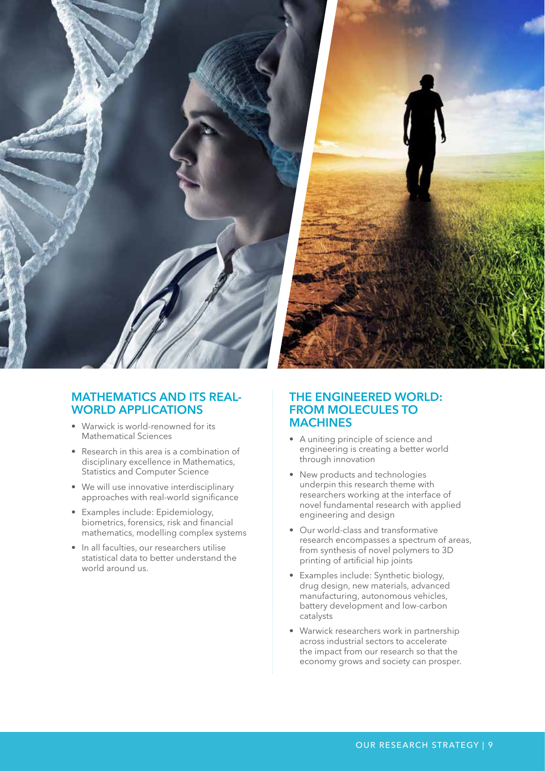

#### **MATHEMATICS AND ITS REAL-WORLD APPLICATIONS**

- Warwick is world-renowned for its Mathematical Sciences
- Research in this area is a combination of disciplinary excellence in Mathematics, Statistics and Computer Science
- We will use innovative interdisciplinary approaches with real-world significance
- Examples include: Epidemiology, biometrics, forensics, risk and financial mathematics, modelling complex systems
- In all faculties, our researchers utilise statistical data to better understand the world around us.

#### **THE ENGINEERED WORLD: FROM MOLECULES TO MACHINES**

- A uniting principle of science and engineering is creating a better world through innovation
- New products and technologies underpin this research theme with researchers working at the interface of novel fundamental research with applied engineering and design
- Our world-class and transformative research encompasses a spectrum of areas, from synthesis of novel polymers to 3D printing of artificial hip joints
- Examples include: Synthetic biology, drug design, new materials, advanced manufacturing, autonomous vehicles, battery development and low-carbon catalysts
- Warwick researchers work in partnership across industrial sectors to accelerate the impact from our research so that the economy grows and society can prosper.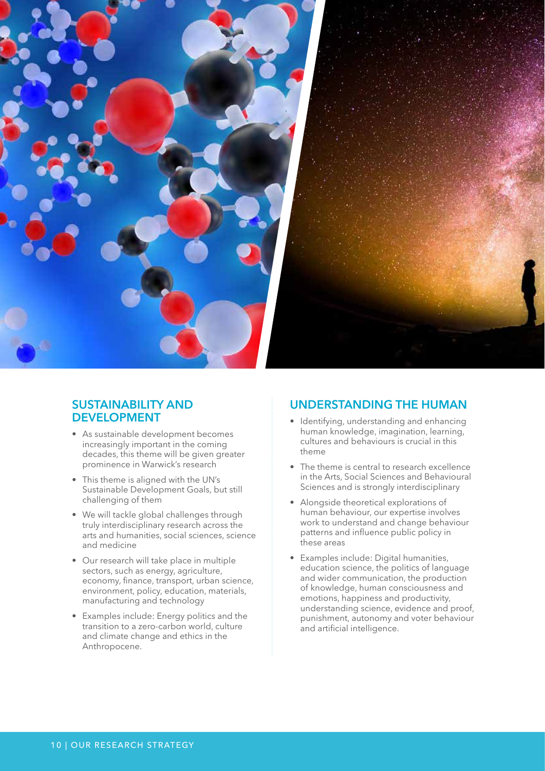

#### **SUSTAINABILITY AND DEVELOPMENT**

- As sustainable development becomes increasingly important in the coming decades, this theme will be given greater prominence in Warwick's research
- This theme is aligned with the UN's Sustainable Development Goals, but still challenging of them
- We will tackle global challenges through truly interdisciplinary research across the arts and humanities, social sciences, science and medicine
- Our research will take place in multiple sectors, such as energy, agriculture, economy, finance, transport, urban science, environment, policy, education, materials, manufacturing and technology
- Examples include: Energy politics and the transition to a zero-carbon world, culture and climate change and ethics in the Anthropocene.

#### **UNDERSTANDING THE HUMAN**

- Identifying, understanding and enhancing human knowledge, imagination, learning, cultures and behaviours is crucial in this theme
- The theme is central to research excellence in the Arts, Social Sciences and Behavioural Sciences and is strongly interdisciplinary
- Alongside theoretical explorations of human behaviour, our expertise involves work to understand and change behaviour patterns and influence public policy in these areas
- Examples include: Digital humanities, education science, the politics of language and wider communication, the production of knowledge, human consciousness and emotions, happiness and productivity, understanding science, evidence and proof, punishment, autonomy and voter behaviour and artificial intelligence.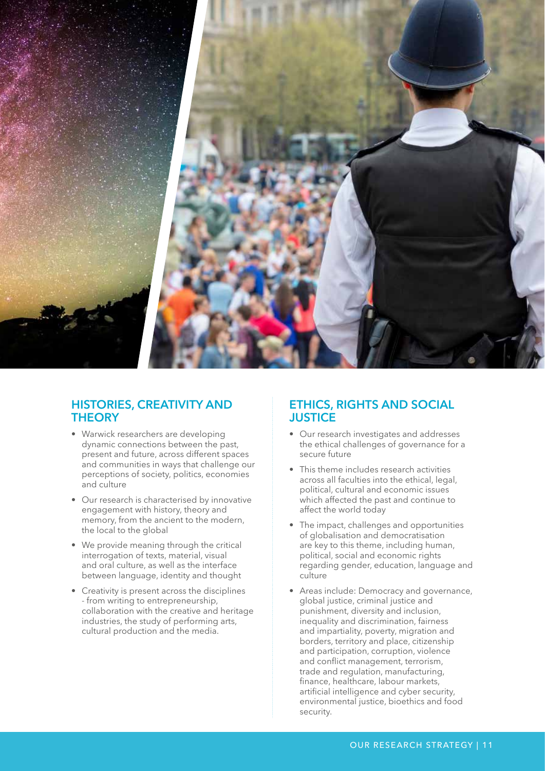

#### **HISTORIES, CREATIVITY AND THEORY**

- Warwick researchers are developing dynamic connections between the past, present and future, across different spaces and communities in ways that challenge our perceptions of society, politics, economies and culture
- Our research is characterised by innovative engagement with history, theory and memory, from the ancient to the modern, the local to the global
- We provide meaning through the critical interrogation of texts, material, visual and oral culture, as well as the interface between language, identity and thought
- Creativity is present across the disciplines - from writing to entrepreneurship, collaboration with the creative and heritage industries, the study of performing arts, cultural production and the media.

#### **ETHICS, RIGHTS AND SOCIAL JUSTICE**

- Our research investigates and addresses the ethical challenges of governance for a secure future
- This theme includes research activities across all faculties into the ethical, legal, political, cultural and economic issues which affected the past and continue to affect the world today
- The impact, challenges and opportunities of globalisation and democratisation are key to this theme, including human, political, social and economic rights regarding gender, education, language and culture
- Areas include: Democracy and governance, global justice, criminal justice and punishment, diversity and inclusion, inequality and discrimination, fairness and impartiality, poverty, migration and borders, territory and place, citizenship and participation, corruption, violence and conflict management, terrorism, trade and regulation, manufacturing, finance, healthcare, labour markets, artificial intelligence and cyber security, environmental justice, bioethics and food security.